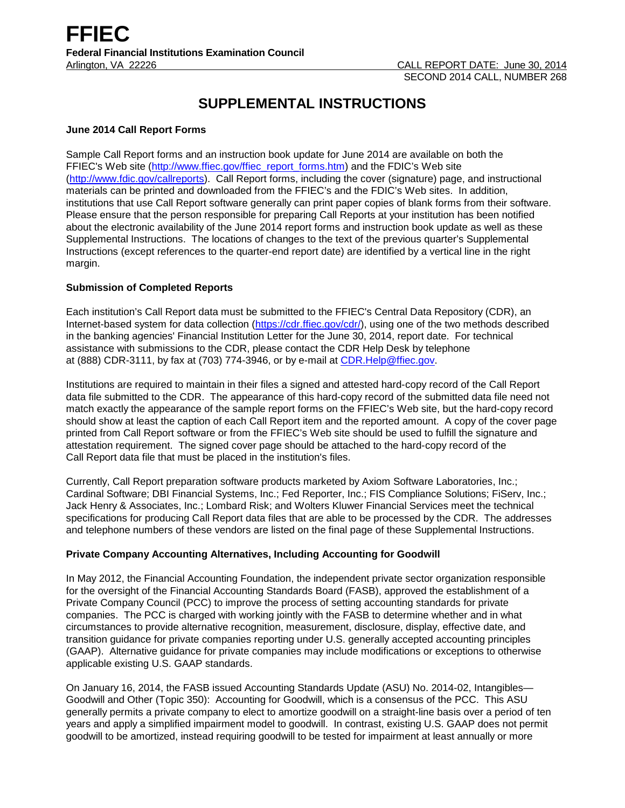# **SUPPLEMENTAL INSTRUCTIONS**

## **June 2014 Call Report Forms**

Sample Call Report forms and an instruction book update for June 2014 are available on both the FFIEC's Web site [\(http://www.ffiec.gov/ffiec\\_report\\_forms.htm\)](http://www.ffiec.gov/ffiec_report_forms.htm) and the FDIC's Web site [\(http://www.fdic.gov/callreports\)](http://www.fdic.gov/callreports). Call Report forms, including the cover (signature) page, and instructional materials can be printed and downloaded from the FFIEC's and the FDIC's Web sites. In addition, institutions that use Call Report software generally can print paper copies of blank forms from their software. Please ensure that the person responsible for preparing Call Reports at your institution has been notified about the electronic availability of the June 2014 report forms and instruction book update as well as these Supplemental Instructions. The locations of changes to the text of the previous quarter's Supplemental Instructions (except references to the quarter-end report date) are identified by a vertical line in the right margin.

## **Submission of Completed Reports**

Each institution's Call Report data must be submitted to the FFIEC's Central Data Repository (CDR), an Internet-based system for data collection [\(https://cdr.ffiec.gov/cdr/\)](https://cdr.ffiec.gov/cdr/), using one of the two methods described in the banking agencies' Financial Institution Letter for the June 30, 2014, report date. For technical assistance with submissions to the CDR, please contact the CDR Help Desk by telephone at (888) CDR-3111, by fax at (703) 774-3946, or by e-mail at CDR.Help@ffiec.gov.

Institutions are required to maintain in their files a signed and attested hard-copy record of the Call Report data file submitted to the CDR. The appearance of this hard-copy record of the submitted data file need not match exactly the appearance of the sample report forms on the FFIEC's Web site, but the hard-copy record should show at least the caption of each Call Report item and the reported amount. A copy of the cover page printed from Call Report software or from the FFIEC's Web site should be used to fulfill the signature and attestation requirement. The signed cover page should be attached to the hard-copy record of the Call Report data file that must be placed in the institution's files.

Currently, Call Report preparation software products marketed by Axiom Software Laboratories, Inc.; Cardinal Software; DBI Financial Systems, Inc.; Fed Reporter, Inc.; FIS Compliance Solutions; FiServ, Inc.; Jack Henry & Associates, Inc.; Lombard Risk; and Wolters Kluwer Financial Services meet the technical specifications for producing Call Report data files that are able to be processed by the CDR. The addresses and telephone numbers of these vendors are listed on the final page of these Supplemental Instructions.

# **Private Company Accounting Alternatives, Including Accounting for Goodwill**

In May 2012, the Financial Accounting Foundation, the independent private sector organization responsible for the oversight of the Financial Accounting Standards Board (FASB), approved the establishment of a Private Company Council (PCC) to improve the process of setting accounting standards for private companies. The PCC is charged with working jointly with the FASB to determine whether and in what circumstances to provide alternative recognition, measurement, disclosure, display, effective date, and transition guidance for private companies reporting under U.S. generally accepted accounting principles (GAAP). Alternative guidance for private companies may include modifications or exceptions to otherwise applicable existing U.S. GAAP standards.

On January 16, 2014, the FASB issued Accounting Standards Update (ASU) No. 2014-02, Intangibles— Goodwill and Other (Topic 350): Accounting for Goodwill, which is a consensus of the PCC. This ASU generally permits a private company to elect to amortize goodwill on a straight-line basis over a period of ten years and apply a simplified impairment model to goodwill. In contrast, existing U.S. GAAP does not permit goodwill to be amortized, instead requiring goodwill to be tested for impairment at least annually or more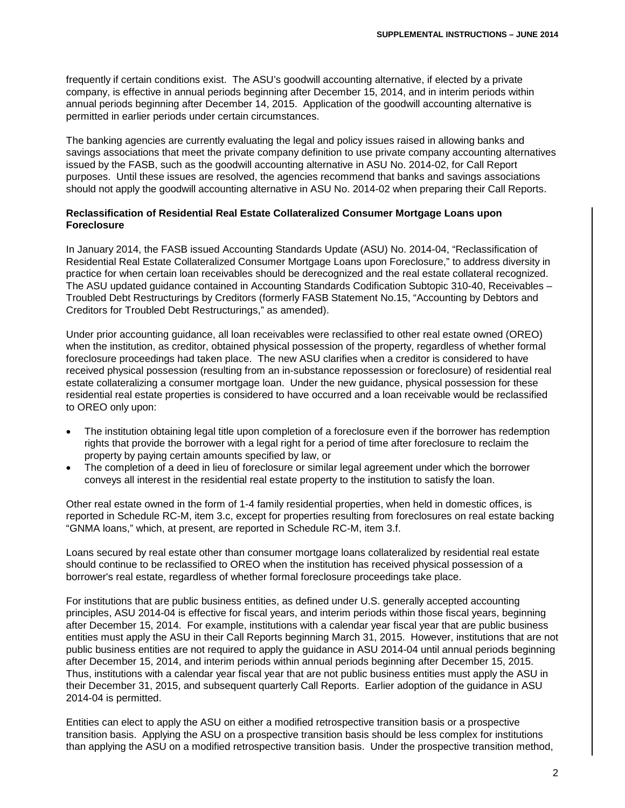frequently if certain conditions exist. The ASU's goodwill accounting alternative, if elected by a private company, is effective in annual periods beginning after December 15, 2014, and in interim periods within annual periods beginning after December 14, 2015. Application of the goodwill accounting alternative is permitted in earlier periods under certain circumstances.

The banking agencies are currently evaluating the legal and policy issues raised in allowing banks and savings associations that meet the private company definition to use private company accounting alternatives issued by the FASB, such as the goodwill accounting alternative in ASU No. 2014-02, for Call Report purposes. Until these issues are resolved, the agencies recommend that banks and savings associations should not apply the goodwill accounting alternative in ASU No. 2014-02 when preparing their Call Reports.

## **Reclassification of Residential Real Estate Collateralized Consumer Mortgage Loans upon Foreclosure**

In January 2014, the FASB issued Accounting Standards Update (ASU) No. 2014-04, "Reclassification of Residential Real Estate Collateralized Consumer Mortgage Loans upon Foreclosure," to address diversity in practice for when certain loan receivables should be derecognized and the real estate collateral recognized. The ASU updated guidance contained in Accounting Standards Codification Subtopic 310-40, Receivables – Troubled Debt Restructurings by Creditors (formerly FASB Statement No.15, "Accounting by Debtors and Creditors for Troubled Debt Restructurings," as amended).

Under prior accounting guidance, all loan receivables were reclassified to other real estate owned (OREO) when the institution, as creditor, obtained physical possession of the property, regardless of whether formal foreclosure proceedings had taken place. The new ASU clarifies when a creditor is considered to have received physical possession (resulting from an in-substance repossession or foreclosure) of residential real estate collateralizing a consumer mortgage loan. Under the new guidance, physical possession for these residential real estate properties is considered to have occurred and a loan receivable would be reclassified to OREO only upon:

- The institution obtaining legal title upon completion of a foreclosure even if the borrower has redemption rights that provide the borrower with a legal right for a period of time after foreclosure to reclaim the property by paying certain amounts specified by law, or
- The completion of a deed in lieu of foreclosure or similar legal agreement under which the borrower conveys all interest in the residential real estate property to the institution to satisfy the loan.

Other real estate owned in the form of 1-4 family residential properties, when held in domestic offices, is reported in Schedule RC-M, item 3.c, except for properties resulting from foreclosures on real estate backing "GNMA loans," which, at present, are reported in Schedule RC-M, item 3.f.

Loans secured by real estate other than consumer mortgage loans collateralized by residential real estate should continue to be reclassified to OREO when the institution has received physical possession of a borrower's real estate, regardless of whether formal foreclosure proceedings take place.

For institutions that are public business entities, as defined under U.S. generally accepted accounting principles, ASU 2014-04 is effective for fiscal years, and interim periods within those fiscal years, beginning after December 15, 2014. For example, institutions with a calendar year fiscal year that are public business entities must apply the ASU in their Call Reports beginning March 31, 2015. However, institutions that are not public business entities are not required to apply the guidance in ASU 2014-04 until annual periods beginning after December 15, 2014, and interim periods within annual periods beginning after December 15, 2015. Thus, institutions with a calendar year fiscal year that are not public business entities must apply the ASU in their December 31, 2015, and subsequent quarterly Call Reports. Earlier adoption of the guidance in ASU 2014-04 is permitted.

Entities can elect to apply the ASU on either a modified retrospective transition basis or a prospective transition basis. Applying the ASU on a prospective transition basis should be less complex for institutions than applying the ASU on a modified retrospective transition basis. Under the prospective transition method,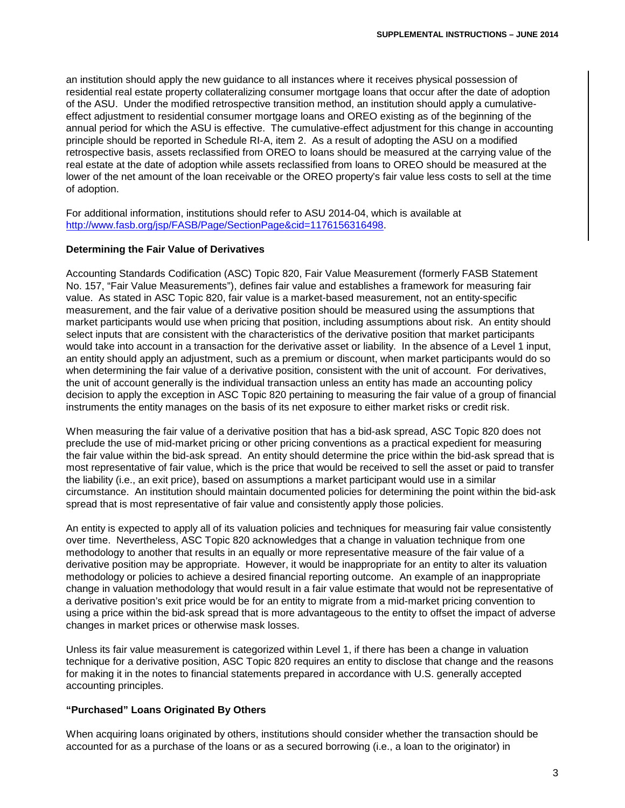an institution should apply the new guidance to all instances where it receives physical possession of residential real estate property collateralizing consumer mortgage loans that occur after the date of adoption of the ASU. Under the modified retrospective transition method, an institution should apply a cumulativeeffect adjustment to residential consumer mortgage loans and OREO existing as of the beginning of the annual period for which the ASU is effective. The cumulative-effect adjustment for this change in accounting principle should be reported in Schedule RI-A, item 2. As a result of adopting the ASU on a modified retrospective basis, assets reclassified from OREO to loans should be measured at the carrying value of the real estate at the date of adoption while assets reclassified from loans to OREO should be measured at the lower of the net amount of the loan receivable or the OREO property's fair value less costs to sell at the time of adoption.

For additional information, institutions should refer to ASU 2014-04, which is available at [http://www.fasb.org/jsp/FASB/Page/SectionPage&cid=1176156316498.](http://www.fasb.org/jsp/FASB/Page/SectionPage&cid=1176156316498)

### **Determining the Fair Value of Derivatives**

Accounting Standards Codification (ASC) Topic 820, Fair Value Measurement (formerly FASB Statement No. 157, "Fair Value Measurements"), defines fair value and establishes a framework for measuring fair value. As stated in ASC Topic 820, fair value is a market-based measurement, not an entity-specific measurement, and the fair value of a derivative position should be measured using the assumptions that market participants would use when pricing that position, including assumptions about risk. An entity should select inputs that are consistent with the characteristics of the derivative position that market participants would take into account in a transaction for the derivative asset or liability. In the absence of a Level 1 input, an entity should apply an adjustment, such as a premium or discount, when market participants would do so when determining the fair value of a derivative position, consistent with the unit of account. For derivatives, the unit of account generally is the individual transaction unless an entity has made an accounting policy decision to apply the exception in ASC Topic 820 pertaining to measuring the fair value of a group of financial instruments the entity manages on the basis of its net exposure to either market risks or credit risk.

When measuring the fair value of a derivative position that has a bid-ask spread, ASC Topic 820 does not preclude the use of mid-market pricing or other pricing conventions as a practical expedient for measuring the fair value within the bid-ask spread. An entity should determine the price within the bid-ask spread that is most representative of fair value, which is the price that would be received to sell the asset or paid to transfer the liability (i.e., an exit price), based on assumptions a market participant would use in a similar circumstance. An institution should maintain documented policies for determining the point within the bid-ask spread that is most representative of fair value and consistently apply those policies.

An entity is expected to apply all of its valuation policies and techniques for measuring fair value consistently over time. Nevertheless, ASC Topic 820 acknowledges that a change in valuation technique from one methodology to another that results in an equally or more representative measure of the fair value of a derivative position may be appropriate. However, it would be inappropriate for an entity to alter its valuation methodology or policies to achieve a desired financial reporting outcome. An example of an inappropriate change in valuation methodology that would result in a fair value estimate that would not be representative of a derivative position's exit price would be for an entity to migrate from a mid-market pricing convention to using a price within the bid-ask spread that is more advantageous to the entity to offset the impact of adverse changes in market prices or otherwise mask losses.

Unless its fair value measurement is categorized within Level 1, if there has been a change in valuation technique for a derivative position, ASC Topic 820 requires an entity to disclose that change and the reasons for making it in the notes to financial statements prepared in accordance with U.S. generally accepted accounting principles.

### **"Purchased" Loans Originated By Others**

When acquiring loans originated by others, institutions should consider whether the transaction should be accounted for as a purchase of the loans or as a secured borrowing (i.e., a loan to the originator) in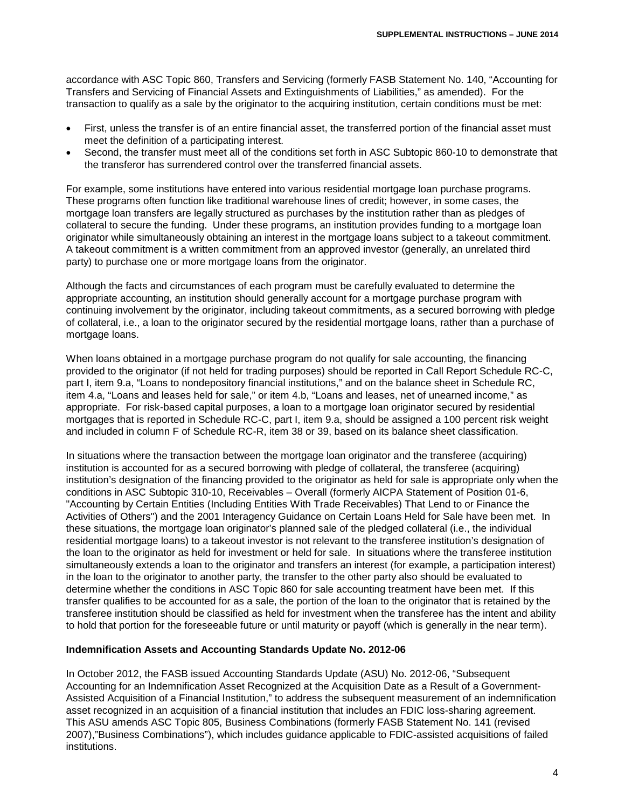accordance with ASC Topic 860, Transfers and Servicing (formerly FASB Statement No. 140, "Accounting for Transfers and Servicing of Financial Assets and Extinguishments of Liabilities," as amended). For the transaction to qualify as a sale by the originator to the acquiring institution, certain conditions must be met:

- First, unless the transfer is of an entire financial asset, the transferred portion of the financial asset must meet the definition of a participating interest.
- Second, the transfer must meet all of the conditions set forth in ASC Subtopic 860-10 to demonstrate that the transferor has surrendered control over the transferred financial assets.

For example, some institutions have entered into various residential mortgage loan purchase programs. These programs often function like traditional warehouse lines of credit; however, in some cases, the mortgage loan transfers are legally structured as purchases by the institution rather than as pledges of collateral to secure the funding. Under these programs, an institution provides funding to a mortgage loan originator while simultaneously obtaining an interest in the mortgage loans subject to a takeout commitment. A takeout commitment is a written commitment from an approved investor (generally, an unrelated third party) to purchase one or more mortgage loans from the originator.

Although the facts and circumstances of each program must be carefully evaluated to determine the appropriate accounting, an institution should generally account for a mortgage purchase program with continuing involvement by the originator, including takeout commitments, as a secured borrowing with pledge of collateral, i.e., a loan to the originator secured by the residential mortgage loans, rather than a purchase of mortgage loans.

When loans obtained in a mortgage purchase program do not qualify for sale accounting, the financing provided to the originator (if not held for trading purposes) should be reported in Call Report Schedule RC-C, part I, item 9.a, "Loans to nondepository financial institutions," and on the balance sheet in Schedule RC, item 4.a, "Loans and leases held for sale," or item 4.b, "Loans and leases, net of unearned income," as appropriate. For risk-based capital purposes, a loan to a mortgage loan originator secured by residential mortgages that is reported in Schedule RC-C, part I, item 9.a, should be assigned a 100 percent risk weight and included in column F of Schedule RC-R, item 38 or 39, based on its balance sheet classification.

In situations where the transaction between the mortgage loan originator and the transferee (acquiring) institution is accounted for as a secured borrowing with pledge of collateral, the transferee (acquiring) institution's designation of the financing provided to the originator as held for sale is appropriate only when the conditions in ASC Subtopic 310-10, Receivables – Overall (formerly AICPA Statement of Position 01-6, "Accounting by Certain Entities (Including Entities With Trade Receivables) That Lend to or Finance the Activities of Others") and the 2001 Interagency Guidance on Certain Loans Held for Sale have been met. In these situations, the mortgage loan originator's planned sale of the pledged collateral (i.e., the individual residential mortgage loans) to a takeout investor is not relevant to the transferee institution's designation of the loan to the originator as held for investment or held for sale. In situations where the transferee institution simultaneously extends a loan to the originator and transfers an interest (for example, a participation interest) in the loan to the originator to another party, the transfer to the other party also should be evaluated to determine whether the conditions in ASC Topic 860 for sale accounting treatment have been met. If this transfer qualifies to be accounted for as a sale, the portion of the loan to the originator that is retained by the transferee institution should be classified as held for investment when the transferee has the intent and ability to hold that portion for the foreseeable future or until maturity or payoff (which is generally in the near term).

### **Indemnification Assets and Accounting Standards Update No. 2012-06**

In October 2012, the FASB issued Accounting Standards Update (ASU) No. 2012-06, "Subsequent Accounting for an Indemnification Asset Recognized at the Acquisition Date as a Result of a Government-Assisted Acquisition of a Financial Institution," to address the subsequent measurement of an indemnification asset recognized in an acquisition of a financial institution that includes an FDIC loss-sharing agreement. This ASU amends ASC Topic 805, Business Combinations (formerly FASB Statement No. 141 (revised 2007),"Business Combinations"), which includes guidance applicable to FDIC-assisted acquisitions of failed institutions.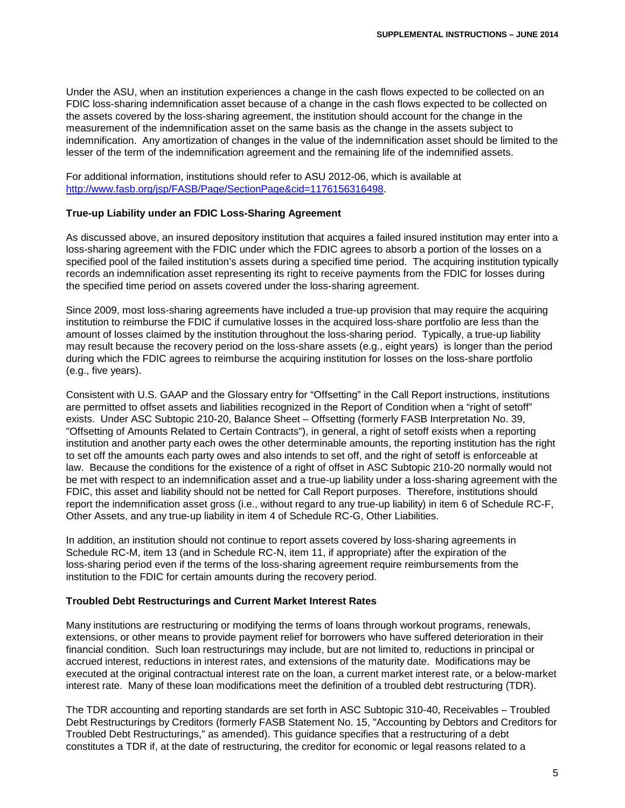Under the ASU, when an institution experiences a change in the cash flows expected to be collected on an FDIC loss-sharing indemnification asset because of a change in the cash flows expected to be collected on the assets covered by the loss-sharing agreement, the institution should account for the change in the measurement of the indemnification asset on the same basis as the change in the assets subject to indemnification. Any amortization of changes in the value of the indemnification asset should be limited to the lesser of the term of the indemnification agreement and the remaining life of the indemnified assets.

For additional information, institutions should refer to ASU 2012-06, which is available at [http://www.fasb.org/jsp/FASB/Page/SectionPage&cid=1176156316498.](http://www.fasb.org/jsp/FASB/Page/SectionPage&cid=1176156316498)

### **True-up Liability under an FDIC Loss-Sharing Agreement**

As discussed above, an insured depository institution that acquires a failed insured institution may enter into a loss-sharing agreement with the FDIC under which the FDIC agrees to absorb a portion of the losses on a specified pool of the failed institution's assets during a specified time period. The acquiring institution typically records an indemnification asset representing its right to receive payments from the FDIC for losses during the specified time period on assets covered under the loss-sharing agreement.

Since 2009, most loss-sharing agreements have included a true-up provision that may require the acquiring institution to reimburse the FDIC if cumulative losses in the acquired loss-share portfolio are less than the amount of losses claimed by the institution throughout the loss-sharing period. Typically, a true-up liability may result because the recovery period on the loss-share assets (e.g., eight years) is longer than the period during which the FDIC agrees to reimburse the acquiring institution for losses on the loss-share portfolio (e.g., five years).

Consistent with U.S. GAAP and the Glossary entry for "Offsetting" in the Call Report instructions, institutions are permitted to offset assets and liabilities recognized in the Report of Condition when a "right of setoff" exists. Under ASC Subtopic 210-20, Balance Sheet – Offsetting (formerly FASB Interpretation No. 39, "Offsetting of Amounts Related to Certain Contracts"), in general, a right of setoff exists when a reporting institution and another party each owes the other determinable amounts, the reporting institution has the right to set off the amounts each party owes and also intends to set off, and the right of setoff is enforceable at law. Because the conditions for the existence of a right of offset in ASC Subtopic 210-20 normally would not be met with respect to an indemnification asset and a true-up liability under a loss-sharing agreement with the FDIC, this asset and liability should not be netted for Call Report purposes. Therefore, institutions should report the indemnification asset gross (i.e., without regard to any true-up liability) in item 6 of Schedule RC-F, Other Assets, and any true-up liability in item 4 of Schedule RC-G, Other Liabilities.

In addition, an institution should not continue to report assets covered by loss-sharing agreements in Schedule RC-M, item 13 (and in Schedule RC-N, item 11, if appropriate) after the expiration of the loss-sharing period even if the terms of the loss-sharing agreement require reimbursements from the institution to the FDIC for certain amounts during the recovery period.

### **Troubled Debt Restructurings and Current Market Interest Rates**

Many institutions are restructuring or modifying the terms of loans through workout programs, renewals, extensions, or other means to provide payment relief for borrowers who have suffered deterioration in their financial condition. Such loan restructurings may include, but are not limited to, reductions in principal or accrued interest, reductions in interest rates, and extensions of the maturity date. Modifications may be executed at the original contractual interest rate on the loan, a current market interest rate, or a below-market interest rate. Many of these loan modifications meet the definition of a troubled debt restructuring (TDR).

The TDR accounting and reporting standards are set forth in ASC Subtopic 310-40, Receivables – Troubled Debt Restructurings by Creditors (formerly FASB Statement No. 15, "Accounting by Debtors and Creditors for Troubled Debt Restructurings," as amended). This guidance specifies that a restructuring of a debt constitutes a TDR if, at the date of restructuring, the creditor for economic or legal reasons related to a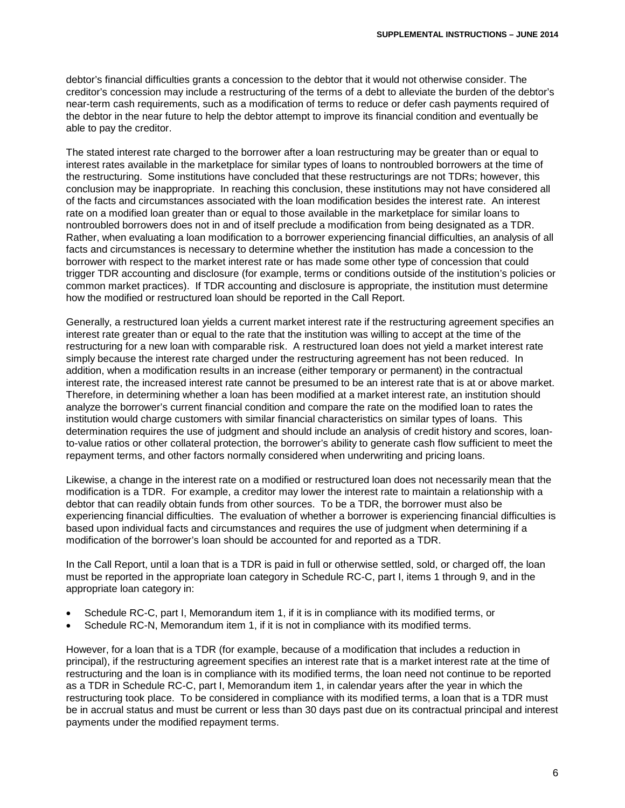debtor's financial difficulties grants a concession to the debtor that it would not otherwise consider. The creditor's concession may include a restructuring of the terms of a debt to alleviate the burden of the debtor's near-term cash requirements, such as a modification of terms to reduce or defer cash payments required of the debtor in the near future to help the debtor attempt to improve its financial condition and eventually be able to pay the creditor.

The stated interest rate charged to the borrower after a loan restructuring may be greater than or equal to interest rates available in the marketplace for similar types of loans to nontroubled borrowers at the time of the restructuring. Some institutions have concluded that these restructurings are not TDRs; however, this conclusion may be inappropriate. In reaching this conclusion, these institutions may not have considered all of the facts and circumstances associated with the loan modification besides the interest rate. An interest rate on a modified loan greater than or equal to those available in the marketplace for similar loans to nontroubled borrowers does not in and of itself preclude a modification from being designated as a TDR. Rather, when evaluating a loan modification to a borrower experiencing financial difficulties, an analysis of all facts and circumstances is necessary to determine whether the institution has made a concession to the borrower with respect to the market interest rate or has made some other type of concession that could trigger TDR accounting and disclosure (for example, terms or conditions outside of the institution's policies or common market practices). If TDR accounting and disclosure is appropriate, the institution must determine how the modified or restructured loan should be reported in the Call Report.

Generally, a restructured loan yields a current market interest rate if the restructuring agreement specifies an interest rate greater than or equal to the rate that the institution was willing to accept at the time of the restructuring for a new loan with comparable risk. A restructured loan does not yield a market interest rate simply because the interest rate charged under the restructuring agreement has not been reduced. In addition, when a modification results in an increase (either temporary or permanent) in the contractual interest rate, the increased interest rate cannot be presumed to be an interest rate that is at or above market. Therefore, in determining whether a loan has been modified at a market interest rate, an institution should analyze the borrower's current financial condition and compare the rate on the modified loan to rates the institution would charge customers with similar financial characteristics on similar types of loans. This determination requires the use of judgment and should include an analysis of credit history and scores, loanto-value ratios or other collateral protection, the borrower's ability to generate cash flow sufficient to meet the repayment terms, and other factors normally considered when underwriting and pricing loans.

Likewise, a change in the interest rate on a modified or restructured loan does not necessarily mean that the modification is a TDR. For example, a creditor may lower the interest rate to maintain a relationship with a debtor that can readily obtain funds from other sources. To be a TDR, the borrower must also be experiencing financial difficulties. The evaluation of whether a borrower is experiencing financial difficulties is based upon individual facts and circumstances and requires the use of judgment when determining if a modification of the borrower's loan should be accounted for and reported as a TDR.

In the Call Report, until a loan that is a TDR is paid in full or otherwise settled, sold, or charged off, the loan must be reported in the appropriate loan category in Schedule RC-C, part I, items 1 through 9, and in the appropriate loan category in:

- Schedule RC-C, part I, Memorandum item 1, if it is in compliance with its modified terms, or
- Schedule RC-N, Memorandum item 1, if it is not in compliance with its modified terms.

However, for a loan that is a TDR (for example, because of a modification that includes a reduction in principal), if the restructuring agreement specifies an interest rate that is a market interest rate at the time of restructuring and the loan is in compliance with its modified terms, the loan need not continue to be reported as a TDR in Schedule RC-C, part I, Memorandum item 1, in calendar years after the year in which the restructuring took place. To be considered in compliance with its modified terms, a loan that is a TDR must be in accrual status and must be current or less than 30 days past due on its contractual principal and interest payments under the modified repayment terms.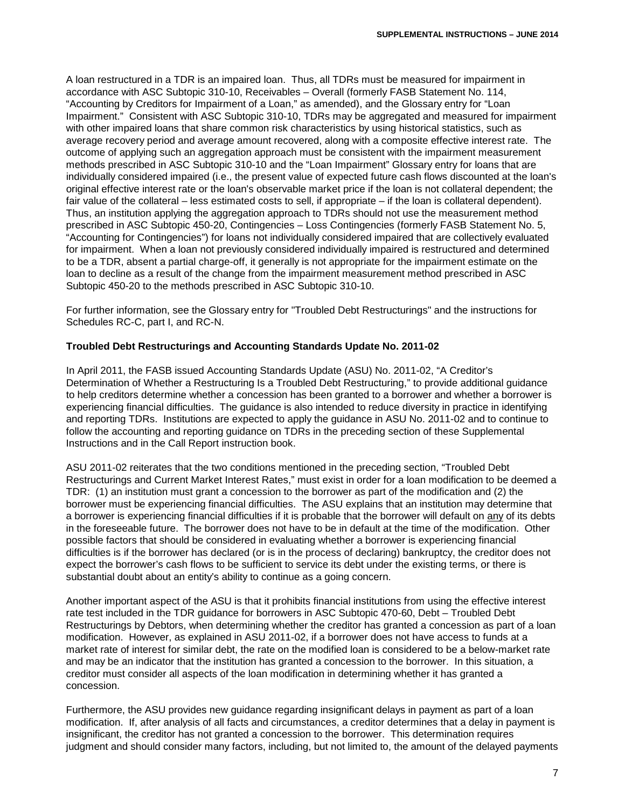A loan restructured in a TDR is an impaired loan. Thus, all TDRs must be measured for impairment in accordance with ASC Subtopic 310-10, Receivables – Overall (formerly FASB Statement No. 114, "Accounting by Creditors for Impairment of a Loan," as amended), and the Glossary entry for "Loan Impairment." Consistent with ASC Subtopic 310-10, TDRs may be aggregated and measured for impairment with other impaired loans that share common risk characteristics by using historical statistics, such as average recovery period and average amount recovered, along with a composite effective interest rate. The outcome of applying such an aggregation approach must be consistent with the impairment measurement methods prescribed in ASC Subtopic 310-10 and the "Loan Impairment" Glossary entry for loans that are individually considered impaired (i.e., the present value of expected future cash flows discounted at the loan's original effective interest rate or the loan's observable market price if the loan is not collateral dependent; the fair value of the collateral – less estimated costs to sell, if appropriate – if the loan is collateral dependent). Thus, an institution applying the aggregation approach to TDRs should not use the measurement method prescribed in ASC Subtopic 450-20, Contingencies – Loss Contingencies (formerly FASB Statement No. 5, "Accounting for Contingencies") for loans not individually considered impaired that are collectively evaluated for impairment. When a loan not previously considered individually impaired is restructured and determined to be a TDR, absent a partial charge-off, it generally is not appropriate for the impairment estimate on the loan to decline as a result of the change from the impairment measurement method prescribed in ASC Subtopic 450-20 to the methods prescribed in ASC Subtopic 310-10.

For further information, see the Glossary entry for "Troubled Debt Restructurings" and the instructions for Schedules RC-C, part I, and RC-N.

## **Troubled Debt Restructurings and Accounting Standards Update No. 2011-02**

In April 2011, the FASB issued Accounting Standards Update (ASU) No. 2011-02, "A Creditor's Determination of Whether a Restructuring Is a Troubled Debt Restructuring," to provide additional guidance to help creditors determine whether a concession has been granted to a borrower and whether a borrower is experiencing financial difficulties. The guidance is also intended to reduce diversity in practice in identifying and reporting TDRs. Institutions are expected to apply the guidance in ASU No. 2011-02 and to continue to follow the accounting and reporting guidance on TDRs in the preceding section of these Supplemental Instructions and in the Call Report instruction book.

ASU 2011-02 reiterates that the two conditions mentioned in the preceding section, "Troubled Debt Restructurings and Current Market Interest Rates," must exist in order for a loan modification to be deemed a TDR: (1) an institution must grant a concession to the borrower as part of the modification and (2) the borrower must be experiencing financial difficulties. The ASU explains that an institution may determine that a borrower is experiencing financial difficulties if it is probable that the borrower will default on any of its debts in the foreseeable future. The borrower does not have to be in default at the time of the modification. Other possible factors that should be considered in evaluating whether a borrower is experiencing financial difficulties is if the borrower has declared (or is in the process of declaring) bankruptcy, the creditor does not expect the borrower's cash flows to be sufficient to service its debt under the existing terms, or there is substantial doubt about an entity's ability to continue as a going concern.

Another important aspect of the ASU is that it prohibits financial institutions from using the effective interest rate test included in the TDR guidance for borrowers in ASC Subtopic 470-60, Debt – Troubled Debt Restructurings by Debtors, when determining whether the creditor has granted a concession as part of a loan modification. However, as explained in ASU 2011-02, if a borrower does not have access to funds at a market rate of interest for similar debt, the rate on the modified loan is considered to be a below-market rate and may be an indicator that the institution has granted a concession to the borrower. In this situation, a creditor must consider all aspects of the loan modification in determining whether it has granted a concession.

Furthermore, the ASU provides new guidance regarding insignificant delays in payment as part of a loan modification. If, after analysis of all facts and circumstances, a creditor determines that a delay in payment is insignificant, the creditor has not granted a concession to the borrower. This determination requires judgment and should consider many factors, including, but not limited to, the amount of the delayed payments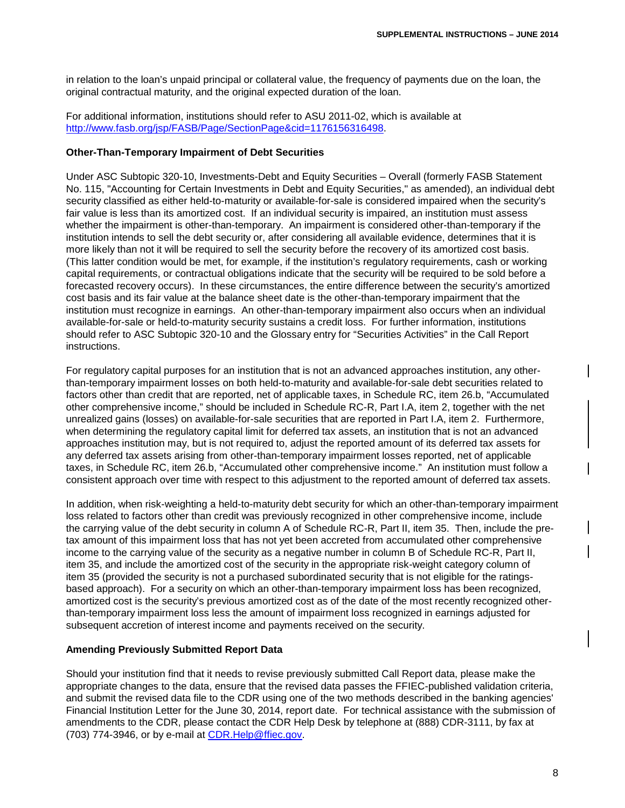in relation to the loan's unpaid principal or collateral value, the frequency of payments due on the loan, the original contractual maturity, and the original expected duration of the loan.

For additional information, institutions should refer to ASU 2011-02, which is available at [http://www.fasb.org/jsp/FASB/Page/SectionPage&cid=1176156316498.](http://www.fasb.org/jsp/FASB/Page/SectionPage&cid=1176156316498)

#### **Other-Than-Temporary Impairment of Debt Securities**

Under ASC Subtopic 320-10, Investments-Debt and Equity Securities – Overall (formerly FASB Statement No. 115, "Accounting for Certain Investments in Debt and Equity Securities," as amended), an individual debt security classified as either held-to-maturity or available-for-sale is considered impaired when the security's fair value is less than its amortized cost. If an individual security is impaired, an institution must assess whether the impairment is other-than-temporary. An impairment is considered other-than-temporary if the institution intends to sell the debt security or, after considering all available evidence, determines that it is more likely than not it will be required to sell the security before the recovery of its amortized cost basis. (This latter condition would be met, for example, if the institution's regulatory requirements, cash or working capital requirements, or contractual obligations indicate that the security will be required to be sold before a forecasted recovery occurs). In these circumstances, the entire difference between the security's amortized cost basis and its fair value at the balance sheet date is the other-than-temporary impairment that the institution must recognize in earnings. An other-than-temporary impairment also occurs when an individual available-for-sale or held-to-maturity security sustains a credit loss. For further information, institutions should refer to ASC Subtopic 320-10 and the Glossary entry for "Securities Activities" in the Call Report instructions.

For regulatory capital purposes for an institution that is not an advanced approaches institution, any otherthan-temporary impairment losses on both held-to-maturity and available-for-sale debt securities related to factors other than credit that are reported, net of applicable taxes, in Schedule RC, item 26.b, "Accumulated other comprehensive income," should be included in Schedule RC-R, Part I.A, item 2, together with the net unrealized gains (losses) on available-for-sale securities that are reported in Part I.A, item 2. Furthermore, when determining the regulatory capital limit for deferred tax assets, an institution that is not an advanced approaches institution may, but is not required to, adjust the reported amount of its deferred tax assets for any deferred tax assets arising from other-than-temporary impairment losses reported, net of applicable taxes, in Schedule RC, item 26.b, "Accumulated other comprehensive income." An institution must follow a consistent approach over time with respect to this adjustment to the reported amount of deferred tax assets.

In addition, when risk-weighting a held-to-maturity debt security for which an other-than-temporary impairment loss related to factors other than credit was previously recognized in other comprehensive income, include the carrying value of the debt security in column A of Schedule RC-R, Part II, item 35. Then, include the pretax amount of this impairment loss that has not yet been accreted from accumulated other comprehensive income to the carrying value of the security as a negative number in column B of Schedule RC-R, Part II, item 35, and include the amortized cost of the security in the appropriate risk-weight category column of item 35 (provided the security is not a purchased subordinated security that is not eligible for the ratingsbased approach). For a security on which an other-than-temporary impairment loss has been recognized, amortized cost is the security's previous amortized cost as of the date of the most recently recognized otherthan-temporary impairment loss less the amount of impairment loss recognized in earnings adjusted for subsequent accretion of interest income and payments received on the security.

#### **Amending Previously Submitted Report Data**

Should your institution find that it needs to revise previously submitted Call Report data, please make the appropriate changes to the data, ensure that the revised data passes the FFIEC-published validation criteria, and submit the revised data file to the CDR using one of the two methods described in the banking agencies' Financial Institution Letter for the June 30, 2014, report date. For technical assistance with the submission of amendments to the CDR, please contact the CDR Help Desk by telephone at (888) CDR-3111, by fax at (703) 774-3946, or by e-mail at CDR.Help@ffiec.gov.